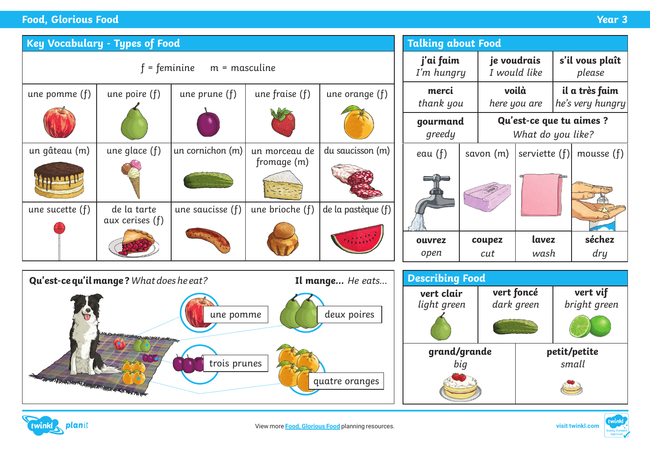## **Food, Glorious Food Year 3**

| <b>Key Vocabulary - Types of Food</b>                                                                                |                                                                                      |                                |                        |                              |                    | <b>Talking about Food</b>                |                         |                       |                                               |                                    |                           |  |
|----------------------------------------------------------------------------------------------------------------------|--------------------------------------------------------------------------------------|--------------------------------|------------------------|------------------------------|--------------------|------------------------------------------|-------------------------|-----------------------|-----------------------------------------------|------------------------------------|---------------------------|--|
|                                                                                                                      | $f =$ feminine<br>$m =$ masculine                                                    |                                |                        |                              |                    |                                          | j'ai faim<br>I'm hungry |                       | je voudrais<br>I would like                   |                                    | s'il vous plaît<br>please |  |
|                                                                                                                      | une pomme $(f)$                                                                      | une poire $(f)$                | une prune $(f)$        | une fraise $(f)$             | une orange $(f)$   | merci<br>thank you<br>gourmand<br>greedy |                         | voilà<br>here you are |                                               | il a très faim<br>he's very hungry |                           |  |
|                                                                                                                      |                                                                                      |                                |                        |                              |                    |                                          |                         |                       | Qu'est-ce que tu aimes ?<br>What do you like? |                                    |                           |  |
|                                                                                                                      | un gâteau (m)                                                                        | une glace (f)                  | un cornichon (m)       | un morceau de<br>fromage (m) | du saucisson (m)   | eau $(f)$                                |                         | savon (m)             | serviette (f)                                 |                                    | mousse (f)                |  |
|                                                                                                                      |                                                                                      |                                |                        |                              |                    |                                          |                         |                       |                                               |                                    |                           |  |
|                                                                                                                      | une sucette (f)                                                                      | de la tarte<br>aux cerises (f) | une saucisse (f)       | une brioche (f)              | de la pastèque (f) |                                          |                         |                       |                                               |                                    |                           |  |
|                                                                                                                      |                                                                                      |                                |                        |                              |                    | ouvrez<br>open                           |                         | coupez<br>cut         | lavez<br>wash                                 |                                    | séchez<br>dry             |  |
|                                                                                                                      |                                                                                      |                                | <b>Describing Food</b> |                              |                    |                                          |                         |                       |                                               |                                    |                           |  |
| Qu'est-ce qu'il mange? What does he eat?<br>Il mange He eats<br>une pomme<br>deux poires<br><b>WEB CAMPS COMPANY</b> |                                                                                      |                                |                        |                              |                    | vert clair<br>light green                |                         |                       | vert foncé<br>dark green                      |                                    | vert vif<br>bright green  |  |
|                                                                                                                      | trois prunes<br>A AND IS AN OUT OF THE MANUSCRIPTION OF THE AND IS<br>quatre oranges |                                |                        |                              |                    |                                          |                         | grand/grande<br>big   |                                               |                                    | petit/petite<br>small     |  |